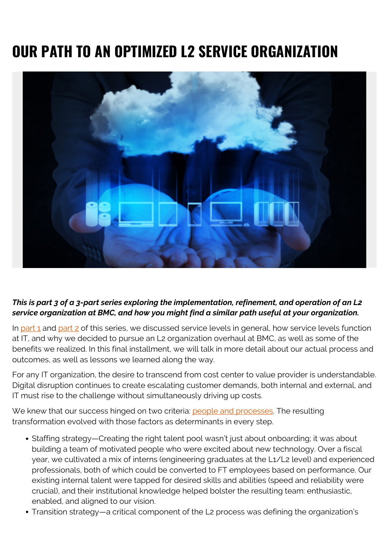## **OUR PATH TO AN OPTIMIZED L2 SERVICE ORGANIZATION**



## *This is part 3 of a 3-part series exploring the implementation, refinement, and operation of an L2 service organization at BMC, and how you might find a similar path useful at your organization.*

In part  $1$  and part  $2$  of this series, we discussed service levels in general, how service levels function at IT, and why we decided to pursue an L2 organization overhaul at BMC, as well as some of the benefits we realized. In this final installment, we will talk in more detail about our actual process and outcomes, as well as lessons we learned along the way.

For any IT organization, the desire to transcend from cost center to value provider is understandable. Digital disruption continues to create escalating customer demands, both internal and external, and IT must rise to the challenge without simultaneously driving up costs.

We knew that our success hinged on two criteria: [people and processes](https://blogs.bmc.com/blogs/digital-transformation-success/). The resulting transformation evolved with those factors as determinants in every step.

- Staffing strategy—Creating the right talent pool wasn't just about onboarding; it was about building a team of motivated people who were excited about new technology. Over a fiscal year, we cultivated a mix of interns (engineering graduates at the L1/L2 level) and experienced professionals, both of which could be converted to FT employees based on performance. Our existing internal talent were tapped for desired skills and abilities (speed and reliability were crucial), and their institutional knowledge helped bolster the resulting team: enthusiastic, enabled, and aligned to our vision.
- Transition strategy—a critical component of the L2 process was defining the organization's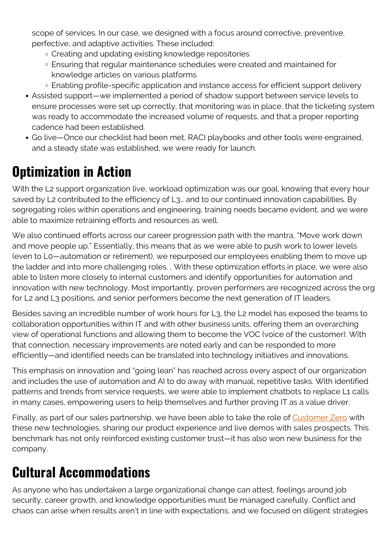scope of services. In our case, we designed with a focus around corrective, preventive, perfective, and adaptive activities. These included:

- Creating and updating existing knowledge repositories
- Ensuring that regular maintenance schedules were created and maintained for knowledge articles on various platforms
- Enabling profile-specific application and instance access for efficient support delivery
- Assisted support—we implemented a period of shadow support between service levels to ensure processes were set up correctly, that monitoring was in place, that the ticketing system was ready to accommodate the increased volume of requests, and that a proper reporting cadence had been established.
- Go live—Once our checklist had been met, RACI playbooks and other tools were engrained, and a steady state was established, we were ready for launch.

## **Optimization in Action**

With the L2 support organization live, workload optimization was our goal, knowing that every hour saved by L2 contributed to the efficiency of L3... and to our continued innovation capabilities. By segregating roles within operations and engineering, training needs became evident, and we were able to maximize retraining efforts and resources as well.

We also continued efforts across our career progression path with the mantra, "Move work down and move people up." Essentially, this means that as we were able to push work to lower levels (even to L0—automation or retirement), we repurposed our employees enabling them to move up the ladder and into more challenging roles. , With these optimization efforts in place, we were also able to listen more closely to internal customers and identify opportunities for automation and innovation with new technology. Most importantly, proven performers are recognized across the org for L2 and L3 positions, and senior performers become the next generation of IT leaders.

Besides saving an incredible number of work hours for L3, the L2 model has exposed the teams to collaboration opportunities within IT and with other business units, offering them an overarching view of operational functions and allowing them to become the VOC (voice of the customer). With that connection, necessary improvements are noted early and can be responded to more efficiently—and identified needs can be translated into technology initiatives and innovations.

This emphasis on innovation and "going lean" has reached across every aspect of our organization and includes the use of automation and AI to do away with manual, repetitive tasks. With identified patterns and trends from service requests, we were able to implement chatbots to replace L1 calls in many cases, empowering users to help themselves and further proving IT as a value driver.

Finally, as part of our sales partnership, we have been able to take the role of [Customer Zero](https://soundcloud.com/bmc-run-reinvent/episode-21-customer-zero-spotlight-cloud-adoption-and-bmc-its-reinvention-journey) with these new technologies, sharing our product experience and live demos with sales prospects. This benchmark has not only reinforced existing customer trust—it has also won new business for the company.

## **Cultural Accommodations**

As anyone who has undertaken a large organizational change can attest, feelings around job security, career growth, and knowledge opportunities must be managed carefully. Conflict and chaos can arise when results aren't in line with expectations, and we focused on diligent strategies